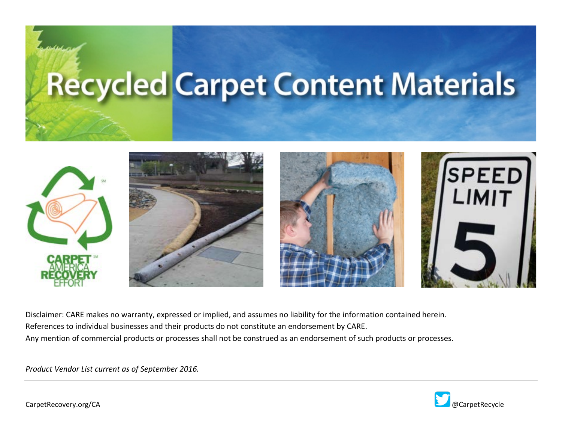# **Recycled Carpet Content Materials**



 Disclaimer: CARE makes no warranty, expressed or implied, and assumes no liability for the information contained herein. References to individual businesses and their products do not constitute an endorsement by CARE. Any mention of commercial products or processes shall not be construed as an endorsement of such products or processes.

*Product Vendor List current as of September 2016.* 

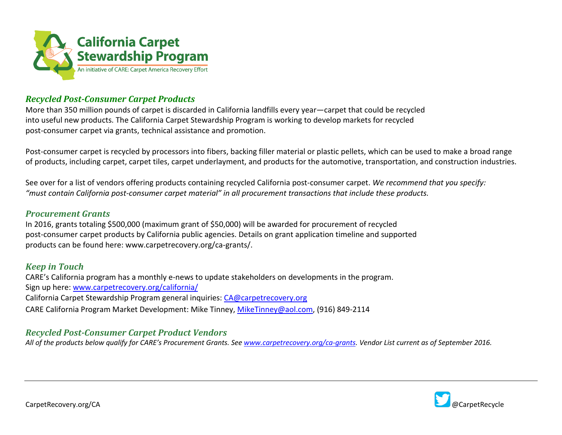

### *Recycled Post-Consumer Carpet Products*

 More than 350 million pounds of carpet is discarded in California landfills every year—carpet that could be recycled into useful new products. The California Carpet Stewardship Program is working to develop markets for recycled post-consumer carpet via grants, technical assistance and promotion.

 Post-consumer carpet is recycled by processors into fibers, backing filler material or plastic pellets, which can be used to make a broad range of products, including carpet, carpet tiles, carpet underlayment, and products for the automotive, transportation, and construction industries.

See over for a list of vendors offering products containing recycled California post-consumer carpet. *We recommend that you specify: "must contain California post-consumer carpet material" in all procurement transactions that include these products.* 

#### *Procurement Grants*

In 2016, grants totaling \$500,000 (maximum grant of \$50,000) will be awarded for procurement of recycled post-consumer carpet products by California public agencies. Details on grant application timeline and supported products can be found here: <www.carpetrecovery.org/ca-grants>/.

#### *Keep in Touch*

 CARE's California program has a monthly e-news to update stakeholders on developments in the program. Sign up here[: www.carpetrecovery.org/california/](http://www.carpetrecovery.org/california/)  California Carpet Stewardship Program general inquiries: [CA@carpetrecovery.org](mailto:CA@carpetrecovery.org)  CARE California Program Market Development: Mike Tinney, [MikeTinney@aol.com,](mailto:MikeTinney@aol.com) (916) 849-2114

## *Recycled Post-Consumer Carpet Product Vendors*

*All of the products below qualify for CARE's Procurement Grants. Se[e www.carpetrecovery.org/ca-grants.](http://www.carpetrecovery.org/ca-grants) Vendor List current as of September 2016.*